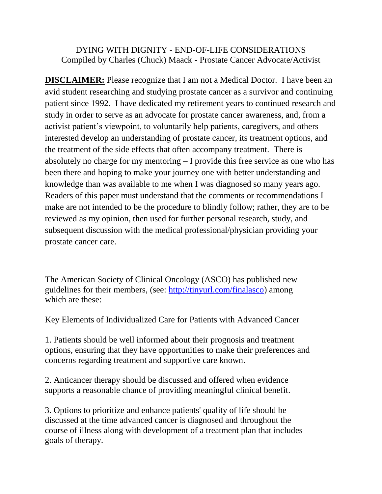## DYING WITH DIGNITY - END-OF-LIFE CONSIDERATIONS Compiled by Charles (Chuck) Maack - Prostate Cancer Advocate/Activist

**DISCLAIMER:** Please recognize that I am not a Medical Doctor. I have been an avid student researching and studying prostate cancer as a survivor and continuing patient since 1992. I have dedicated my retirement years to continued research and study in order to serve as an advocate for prostate cancer awareness, and, from a activist patient's viewpoint, to voluntarily help patients, caregivers, and others interested develop an understanding of prostate cancer, its treatment options, and the treatment of the side effects that often accompany treatment. There is absolutely no charge for my mentoring – I provide this free service as one who has been there and hoping to make your journey one with better understanding and knowledge than was available to me when I was diagnosed so many years ago. Readers of this paper must understand that the comments or recommendations I make are not intended to be the procedure to blindly follow; rather, they are to be reviewed as my opinion, then used for further personal research, study, and subsequent discussion with the medical professional/physician providing your prostate cancer care.

The American Society of Clinical Oncology (ASCO) has published new guidelines for their members, (see: [http://tinyurl.com/finalasco\)](http://tinyurl.com/finalasco) among which are these:

Key Elements of Individualized Care for Patients with Advanced Cancer

1. Patients should be well informed about their prognosis and treatment options, ensuring that they have opportunities to make their preferences and concerns regarding treatment and supportive care known.

2. Anticancer therapy should be discussed and offered when evidence supports a reasonable chance of providing meaningful clinical benefit.

3. Options to prioritize and enhance patients' quality of life should be discussed at the time advanced cancer is diagnosed and throughout the course of illness along with development of a treatment plan that includes goals of therapy.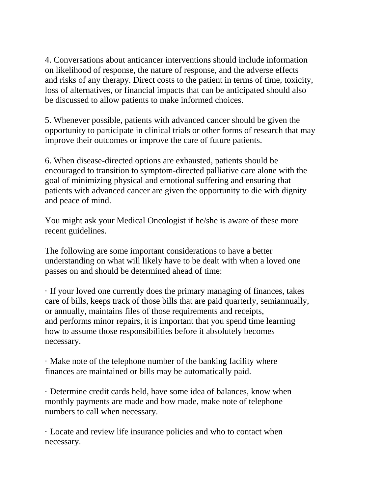4. Conversations about anticancer interventions should include information on likelihood of response, the nature of response, and the adverse effects and risks of any therapy. Direct costs to the patient in terms of time, toxicity, loss of alternatives, or financial impacts that can be anticipated should also be discussed to allow patients to make informed choices.

5. Whenever possible, patients with advanced cancer should be given the opportunity to participate in clinical trials or other forms of research that may improve their outcomes or improve the care of future patients.

6. When disease-directed options are exhausted, patients should be encouraged to transition to symptom-directed palliative care alone with the goal of minimizing physical and emotional suffering and ensuring that patients with advanced cancer are given the opportunity to die with dignity and peace of mind.

You might ask your Medical Oncologist if he/she is aware of these more recent guidelines.

The following are some important considerations to have a better understanding on what will likely have to be dealt with when a loved one passes on and should be determined ahead of time:

· If your loved one currently does the primary managing of finances, takes care of bills, keeps track of those bills that are paid quarterly, semiannually, or annually, maintains files of those requirements and receipts, and performs minor repairs, it is important that you spend time learning how to assume those responsibilities before it absolutely becomes necessary.

· Make note of the telephone number of the banking facility where finances are maintained or bills may be automatically paid.

· Determine credit cards held, have some idea of balances, know when monthly payments are made and how made, make note of telephone numbers to call when necessary.

· Locate and review life insurance policies and who to contact when necessary.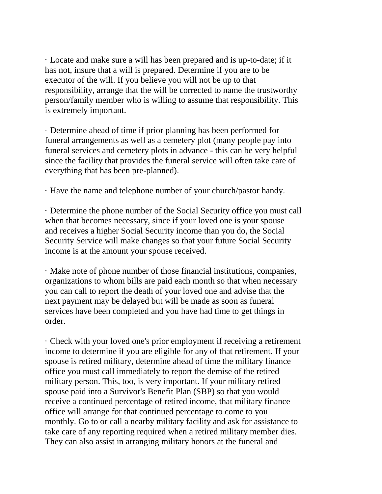· Locate and make sure a will has been prepared and is up-to-date; if it has not, insure that a will is prepared. Determine if you are to be executor of the will. If you believe you will not be up to that responsibility, arrange that the will be corrected to name the trustworthy person/family member who is willing to assume that responsibility. This is extremely important.

· Determine ahead of time if prior planning has been performed for funeral arrangements as well as a cemetery plot (many people pay into funeral services and cemetery plots in advance - this can be very helpful since the facility that provides the funeral service will often take care of everything that has been pre-planned).

· Have the name and telephone number of your church/pastor handy.

· Determine the phone number of the Social Security office you must call when that becomes necessary, since if your loved one is your spouse and receives a higher Social Security income than you do, the Social Security Service will make changes so that your future Social Security income is at the amount your spouse received.

· Make note of phone number of those financial institutions, companies, organizations to whom bills are paid each month so that when necessary you can call to report the death of your loved one and advise that the next payment may be delayed but will be made as soon as funeral services have been completed and you have had time to get things in order.

· Check with your loved one's prior employment if receiving a retirement income to determine if you are eligible for any of that retirement. If your spouse is retired military, determine ahead of time the military finance office you must call immediately to report the demise of the retired military person. This, too, is very important. If your military retired spouse paid into a Survivor's Benefit Plan (SBP) so that you would receive a continued percentage of retired income, that military finance office will arrange for that continued percentage to come to you monthly. Go to or call a nearby military facility and ask for assistance to take care of any reporting required when a retired military member dies. They can also assist in arranging military honors at the funeral and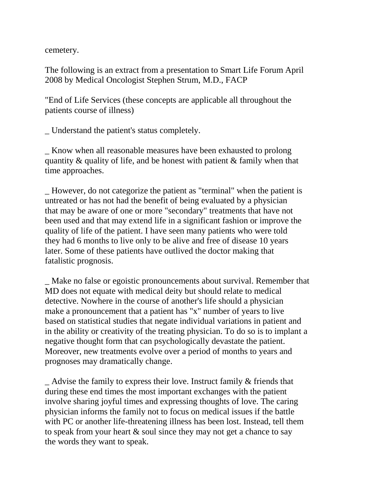cemetery.

The following is an extract from a presentation to Smart Life Forum April 2008 by Medical Oncologist Stephen Strum, M.D., FACP

"End of Life Services (these concepts are applicable all throughout the patients course of illness)

\_ Understand the patient's status completely.

\_ Know when all reasonable measures have been exhausted to prolong quantity & quality of life, and be honest with patient & family when that time approaches.

\_ However, do not categorize the patient as "terminal" when the patient is untreated or has not had the benefit of being evaluated by a physician that may be aware of one or more "secondary" treatments that have not been used and that may extend life in a significant fashion or improve the quality of life of the patient. I have seen many patients who were told they had 6 months to live only to be alive and free of disease 10 years later. Some of these patients have outlived the doctor making that fatalistic prognosis.

\_ Make no false or egoistic pronouncements about survival. Remember that MD does not equate with medical deity but should relate to medical detective. Nowhere in the course of another's life should a physician make a pronouncement that a patient has "x" number of years to live based on statistical studies that negate individual variations in patient and in the ability or creativity of the treating physician. To do so is to implant a negative thought form that can psychologically devastate the patient. Moreover, new treatments evolve over a period of months to years and prognoses may dramatically change.

Advise the family to express their love. Instruct family  $\&$  friends that during these end times the most important exchanges with the patient involve sharing joyful times and expressing thoughts of love. The caring physician informs the family not to focus on medical issues if the battle with PC or another life-threatening illness has been lost. Instead, tell them to speak from your heart & soul since they may not get a chance to say the words they want to speak.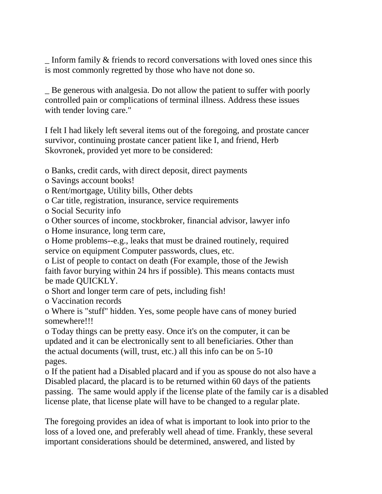\_ Inform family & friends to record conversations with loved ones since this is most commonly regretted by those who have not done so.

\_ Be generous with analgesia. Do not allow the patient to suffer with poorly controlled pain or complications of terminal illness. Address these issues with tender loving care."

I felt I had likely left several items out of the foregoing, and prostate cancer survivor, continuing prostate cancer patient like I, and friend, Herb Skovronek, provided yet more to be considered:

o Banks, credit cards, with direct deposit, direct payments

o Savings account books!

o Rent/mortgage, Utility bills, Other debts

o Car title, registration, insurance, service requirements

o Social Security info

o Other sources of income, stockbroker, financial advisor, lawyer info

o Home insurance, long term care,

o Home problems--e.g., leaks that must be drained routinely, required service on equipment Computer passwords, clues, etc.

o List of people to contact on death (For example, those of the Jewish faith favor burying within 24 hrs if possible). This means contacts must be made QUICKLY.

o Short and longer term care of pets, including fish!

o Vaccination records

o Where is "stuff" hidden. Yes, some people have cans of money buried somewhere!!!

o Today things can be pretty easy. Once it's on the computer, it can be updated and it can be electronically sent to all beneficiaries. Other than the actual documents (will, trust, etc.) all this info can be on 5-10 pages.

o If the patient had a Disabled placard and if you as spouse do not also have a Disabled placard, the placard is to be returned within 60 days of the patients passing. The same would apply if the license plate of the family car is a disabled license plate, that license plate will have to be changed to a regular plate.

The foregoing provides an idea of what is important to look into prior to the loss of a loved one, and preferably well ahead of time. Frankly, these several important considerations should be determined, answered, and listed by